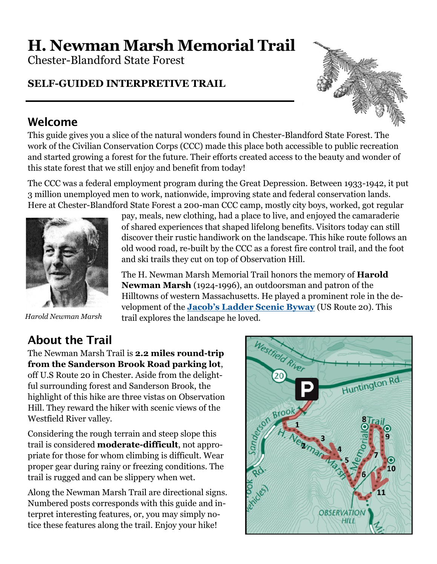# **H. Newman Marsh Memorial Trail**

Chester-Blandford State Forest

#### **SELF-GUIDED INTERPRETIVE TRAIL**

### Welcome

This guide gives you a slice of the natural wonders found in Chester-Blandford State Forest. The work of the Civilian Conservation Corps (CCC) made this place both accessible to public recreation and started growing a forest for the future. Their efforts created access to the beauty and wonder of this state forest that we still enjoy and benefit from today!

The CCC was a federal employment program during the Great Depression. Between 1933-1942, it put 3 million unemployed men to work, nationwide, improving state and federal conservation lands. Here at Chester-Blandford State Forest a 200-man CCC camp, mostly city boys, worked, got regular



pay, meals, new clothing, had a place to live, and enjoyed the camaraderie of shared experiences that shaped lifelong benefits. Visitors today can still discover their rustic handiwork on the landscape. This hike route follows an old wood road, re-built by the CCC as a forest fire control trail, and the foot and ski trails they cut on top of Observation Hill.

The H. Newman Marsh Memorial Trail honors the memory of **Harold Newman Marsh** (1924-1996), an outdoorsman and patron of the Hilltowns of western Massachusetts. He played a prominent role in the development of the **Jacob'[s Ladder Scenic Byway](http://www.bywayswestmass.com/byways/jacobs-ladder-trail/)** (US Route 20). This trail explores the landscape he loved.

*Harold Newman Marsh*

## About the Trail

The Newman Marsh Trail is **2.2 miles round-trip from the Sanderson Brook Road parking lot**, off U.S Route 20 in Chester. Aside from the delightful surrounding forest and Sanderson Brook, the highlight of this hike are three vistas on Observation Hill. They reward the hiker with scenic views of the Westfield River valley.

Considering the rough terrain and steep slope this trail is considered **moderate-difficult**, not appropriate for those for whom climbing is difficult. Wear proper gear during rainy or freezing conditions. The trail is rugged and can be slippery when wet.

Along the Newman Marsh Trail are directional signs. Numbered posts corresponds with this guide and interpret interesting features, or, you may simply notice these features along the trail. Enjoy your hike!

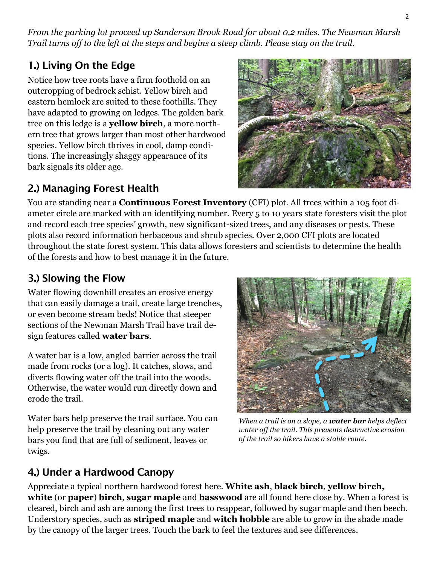*From the parking lot proceed up Sanderson Brook Road for about 0.2 miles. The Newman Marsh Trail turns off to the left at the steps and begins a steep climb. Please stay on the trail.*

#### 1.) Living On the Edge

Notice how tree roots have a firm foothold on an outcropping of bedrock schist. Yellow birch and eastern hemlock are suited to these foothills. They have adapted to growing on ledges. The golden bark tree on this ledge is a **yellow birch**, a more northern tree that grows larger than most other hardwood species. Yellow birch thrives in cool, damp conditions. The increasingly shaggy appearance of its bark signals its older age.

#### 2.) Managing Forest Health

ameter circle are marked with an identifying number. Every 5 to 10 years state foresters visit the plot and record each tree species' growth, new significant-sized trees, and any diseases or pests. These plots also record information herbaceous and shrub species. Over 2,000 CFI plots are located throughout the state forest system. This data allows foresters and scientists to determine the health of the forests and how to best manage it in the future.

You are standing near a **Continuous Forest Inventory** (CFI) plot. All trees within a 105 foot di-

#### 3.) Slowing the Flow

Water flowing downhill creates an erosive energy that can easily damage a trail, create large trenches, or even become stream beds! Notice that steeper sections of the Newman Marsh Trail have trail design features called **water bars***.*

A water bar is a low, angled barrier across the trail made from rocks (or a log). It catches, slows, and diverts flowing water off the trail into the woods. Otherwise, the water would run directly down and erode the trail.

Water bars help preserve the trail surface. You can help preserve the trail by cleaning out any water bars you find that are full of sediment, leaves or twigs.

*When a trail is on a slope, a water bar helps deflect water off the trail. This prevents destructive erosion of the trail so hikers have a stable route.*

#### 4.) Under a Hardwood Canopy

Appreciate a typical northern hardwood forest here. **White ash**, **black birch**, **yellow birch, white** (or **paper**) **birch**, **sugar maple** and **basswood** are all found here close by. When a forest is cleared, birch and ash are among the first trees to reappear, followed by sugar maple and then beech. Understory species, such as **striped maple** and **witch hobble** are able to grow in the shade made by the canopy of the larger trees. Touch the bark to feel the textures and see differences.



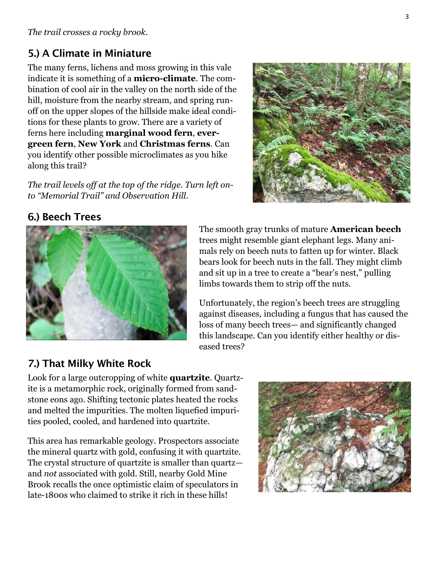#### 5.) A Climate in Miniature

The many ferns, lichens and moss growing in this vale indicate it is something of a **micro-climate**. The combination of cool air in the valley on the north side of the hill, moisture from the nearby stream, and spring runoff on the upper slopes of the hillside make ideal conditions for these plants to grow. There are a variety of ferns here including **marginal wood fern**, **evergreen fern**, **New York** and **Christmas ferns**. Can you identify other possible microclimates as you hike along this trail?

*The trail levels off at the top of the ridge. Turn left onto "Memorial Trail" and Observation Hill.*



#### 6.) Beech Trees



The smooth gray trunks of mature **American beech**  trees might resemble giant elephant legs. Many animals rely on beech nuts to fatten up for winter. Black bears look for beech nuts in the fall. They might climb and sit up in a tree to create a "bear's nest," pulling limbs towards them to strip off the nuts.

Unfortunately, the region's beech trees are struggling against diseases, including a fungus that has caused the loss of many beech trees— and significantly changed this landscape. Can you identify either healthy or diseased trees?

#### 7.) That Milky White Rock

Look for a large outcropping of white **quartzite**. Quartzite is a metamorphic rock, originally formed from sandstone eons ago. Shifting tectonic plates heated the rocks and melted the impurities. The molten liquefied impurities pooled, cooled, and hardened into quartzite.

This area has remarkable geology. Prospectors associate the mineral quartz with gold, confusing it with quartzite. The crystal structure of quartzite is smaller than quartz and *not* associated with gold. Still, nearby Gold Mine Brook recalls the once optimistic claim of speculators in late-1800s who claimed to strike it rich in these hills!

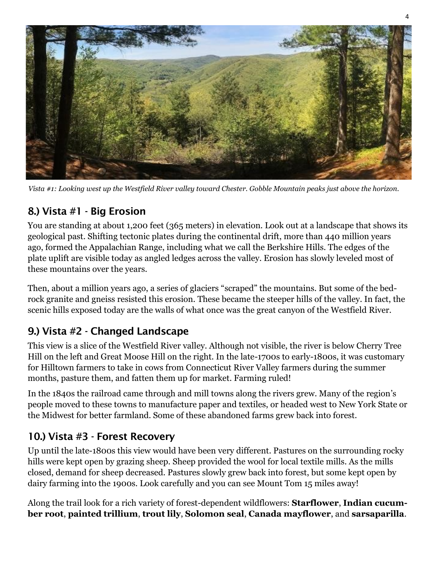

*Vista #1: Looking west up the Westfield River valley toward Chester. Gobble Mountain peaks just above the horizon.*

#### 8.) Vista #1 - Big Erosion

You are standing at about 1,200 feet (365 meters) in elevation. Look out at a landscape that shows its geological past. Shifting tectonic plates during the continental drift, more than 440 million years ago, formed the Appalachian Range, including what we call the Berkshire Hills. The edges of the plate uplift are visible today as angled ledges across the valley. Erosion has slowly leveled most of these mountains over the years.

Then, about a million years ago, a series of glaciers "scraped" the mountains. But some of the bedrock granite and gneiss resisted this erosion. These became the steeper hills of the valley. In fact, the scenic hills exposed today are the walls of what once was the great canyon of the Westfield River.

#### 9.) Vista #2 - Changed Landscape

This view is a slice of the Westfield River valley. Although not visible, the river is below Cherry Tree Hill on the left and Great Moose Hill on the right. In the late-1700s to early-1800s, it was customary for Hilltown farmers to take in cows from Connecticut River Valley farmers during the summer months, pasture them, and fatten them up for market. Farming ruled!

In the 1840s the railroad came through and mill towns along the rivers grew. Many of the region's people moved to these towns to manufacture paper and textiles, or headed west to New York State or the Midwest for better farmland. Some of these abandoned farms grew back into forest.

#### 10.) Vista #3 - Forest Recovery

Up until the late-1800s this view would have been very different. Pastures on the surrounding rocky hills were kept open by grazing sheep. Sheep provided the wool for local textile mills. As the mills closed, demand for sheep decreased. Pastures slowly grew back into forest, but some kept open by dairy farming into the 1900s. Look carefully and you can see Mount Tom 15 miles away!

Along the trail look for a rich variety of forest-dependent wildflowers: **Starflower**, **Indian cucumber root**, **painted trillium**, **trout lily**, **Solomon seal**, **Canada mayflower**, and **sarsaparilla**.